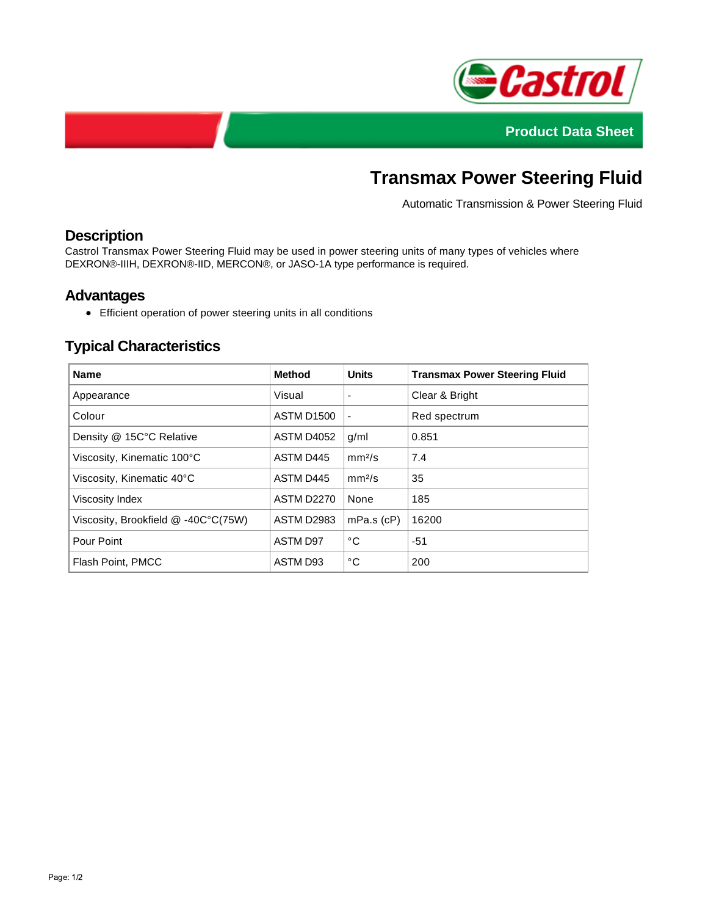



# **Transmax Power Steering Fluid**

Automatic Transmission & Power Steering Fluid

## **Description**

Castrol Transmax Power Steering Fluid may be used in power steering units of many types of vehicles where DEXRON®-IIIH, DEXRON®-IID, MERCON®, or JASO-1A type performance is required.

#### **Advantages**

Efficient operation of power steering units in all conditions

## **Typical Characteristics**

| <b>Name</b>                         | <b>Method</b>     | <b>Units</b>       | <b>Transmax Power Steering Fluid</b> |
|-------------------------------------|-------------------|--------------------|--------------------------------------|
| Appearance                          | Visual            | ٠                  | Clear & Bright                       |
| Colour                              | <b>ASTM D1500</b> |                    | Red spectrum                         |
| Density @ 15C°C Relative            | ASTM D4052        | q/ml               | 0.851                                |
| Viscosity, Kinematic 100°C          | ASTM D445         | mm <sup>2</sup> /s | 7.4                                  |
| Viscosity, Kinematic 40°C           | ASTM D445         | mm <sup>2</sup> /s | 35                                   |
| Viscosity Index                     | <b>ASTM D2270</b> | None               | 185                                  |
| Viscosity, Brookfield @ -40C°C(75W) | <b>ASTM D2983</b> | $mPa.s$ ( $cP$ )   | 16200                                |
| Pour Point                          | ASTM D97          | °C                 | $-51$                                |
| Flash Point, PMCC                   | ASTM D93          | °C                 | 200                                  |